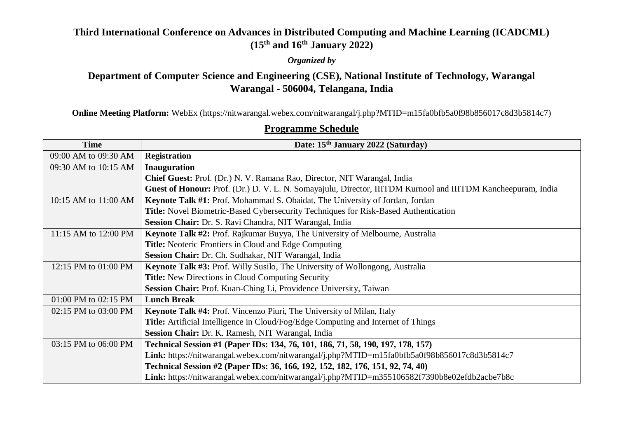## **Third International Conference on Advances in Distributed Computing and Machine Learning (ICADCML) (15th and 16th January 2022)**

### *Organized by*

# **Department of Computer Science and Engineering (CSE), National Institute of Technology, Warangal Warangal - 506004, Telangana, India**

**Online Meeting Platform:** WebEx (https://nitwarangal.webex.com/nitwarangal/j.php?MTID=m15fa0bfb5a0f98b856017c8d3b5814c7)

### **Date: 15<sup>th</sup> January 2022 (Saturday)** 09:00 AM to 09:30 AM **Registration** 09:30 AM to 10:15 AM **Inauguration Chief Guest:** Prof. (Dr.) N. V. Ramana Rao, Director, NIT Warangal, India **Guest of Honour:** Prof. (Dr.) D. V. L. N. Somayajulu, Director, IIITDM Kurnool and IIITDM Kancheepuram, India 10:15 AM to 11:00 AM **Keynote Talk #1:** Prof. Mohammad S. Obaidat, The University of Jordan, Jordan **Title:** Novel Biometric-Based Cybersecurity Techniques for Risk-Based Authentication **Session Chair:** Dr. S. Ravi Chandra, NIT Warangal, India 11:15 AM to 12:00 PM **Keynote Talk #2:** Prof. Rajkumar Buyya, The University of Melbourne, Australia **Title:** Neoteric Frontiers in Cloud and Edge Computing **Session Chair:** Dr. Ch. Sudhakar, NIT Warangal, India 12:15 PM to 01:00 PM **Keynote Talk #3:** Prof. Willy Susilo, The University of Wollongong, Australia **Title:** New Directions in Cloud Computing Security **Session Chair:** Prof. Kuan-Ching Li, Providence University, Taiwan 01:00 PM to 02:15 PM **Lunch Break** 02:15 PM to 03:00 PM **Keynote Talk #4:** Prof. Vincenzo Piuri, The University of Milan, Italy **Title:** Artificial Intelligence in Cloud/Fog/Edge Computing and Internet of Things **Session Chair:** Dr. K. Ramesh, NIT Warangal, India 03:15 PM to 06:00 PM **Technical Session #1 (Paper IDs: 134, 76, 101, 186, 71, 58, 190, 197, 178, 157) Link:** https://nitwarangal.webex.com/nitwarangal/j.php?MTID=m15fa0bfb5a0f98b856017c8d3b5814c7 **Technical Session #2 (Paper IDs: 36, 166, 192, 152, 182, 176, 151, 92, 74, 40) Link:** https://nitwarangal.webex.com/nitwarangal/j.php?MTID=m355106582f7390b8e02efdb2acbe7b8c

### **Programme Schedule**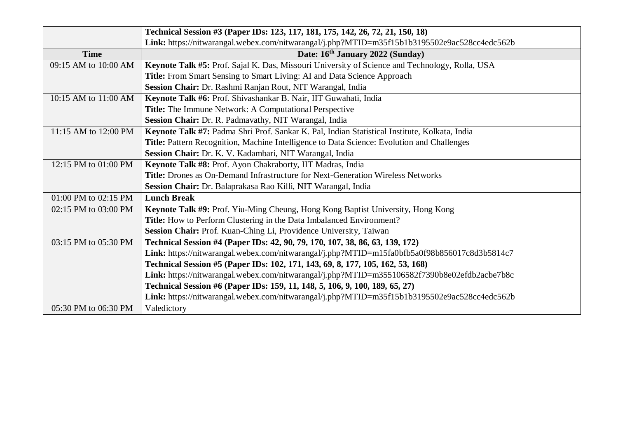|                      | Technical Session #3 (Paper IDs: 123, 117, 181, 175, 142, 26, 72, 21, 150, 18)                 |
|----------------------|------------------------------------------------------------------------------------------------|
|                      | Link: https://nitwarangal.webex.com/nitwarangal/j.php?MTID=m35f15b1b3195502e9ac528cc4edc562b   |
| <b>Time</b>          | Date: 16th January 2022 (Sunday)                                                               |
| 09:15 AM to 10:00 AM | Keynote Talk #5: Prof. Sajal K. Das, Missouri University of Science and Technology, Rolla, USA |
|                      | Title: From Smart Sensing to Smart Living: AI and Data Science Approach                        |
|                      | Session Chair: Dr. Rashmi Ranjan Rout, NIT Warangal, India                                     |
| 10:15 AM to 11:00 AM | Keynote Talk #6: Prof. Shivashankar B. Nair, IIT Guwahati, India                               |
|                      | Title: The Immune Network: A Computational Perspective                                         |
|                      | Session Chair: Dr. R. Padmavathy, NIT Warangal, India                                          |
| 11:15 AM to 12:00 PM | Keynote Talk #7: Padma Shri Prof. Sankar K. Pal, Indian Statistical Institute, Kolkata, India  |
|                      | Title: Pattern Recognition, Machine Intelligence to Data Science: Evolution and Challenges     |
|                      | Session Chair: Dr. K. V. Kadambari, NIT Warangal, India                                        |
| 12:15 PM to 01:00 PM | Keynote Talk #8: Prof. Ayon Chakraborty, IIT Madras, India                                     |
|                      | Title: Drones as On-Demand Infrastructure for Next-Generation Wireless Networks                |
|                      | Session Chair: Dr. Balaprakasa Rao Killi, NIT Warangal, India                                  |
| 01:00 PM to 02:15 PM | <b>Lunch Break</b>                                                                             |
| 02:15 PM to 03:00 PM | Keynote Talk #9: Prof. Yiu-Ming Cheung, Hong Kong Baptist University, Hong Kong                |
|                      | Title: How to Perform Clustering in the Data Imbalanced Environment?                           |
|                      | Session Chair: Prof. Kuan-Ching Li, Providence University, Taiwan                              |
| 03:15 PM to 05:30 PM | Technical Session #4 (Paper IDs: 42, 90, 79, 170, 107, 38, 86, 63, 139, 172)                   |
|                      | Link: https://nitwarangal.webex.com/nitwarangal/j.php?MTID=m15fa0bfb5a0f98b856017c8d3b5814c7   |
|                      | Technical Session #5 (Paper IDs: 102, 171, 143, 69, 8, 177, 105, 162, 53, 168)                 |
|                      | Link: https://nitwarangal.webex.com/nitwarangal/j.php?MTID=m355106582f7390b8e02efdb2acbe7b8c   |
|                      | Technical Session #6 (Paper IDs: 159, 11, 148, 5, 106, 9, 100, 189, 65, 27)                    |
|                      | Link: https://nitwarangal.webex.com/nitwarangal/j.php?MTID=m35f15b1b3195502e9ac528cc4edc562b   |
| 05:30 PM to 06:30 PM | Valedictory                                                                                    |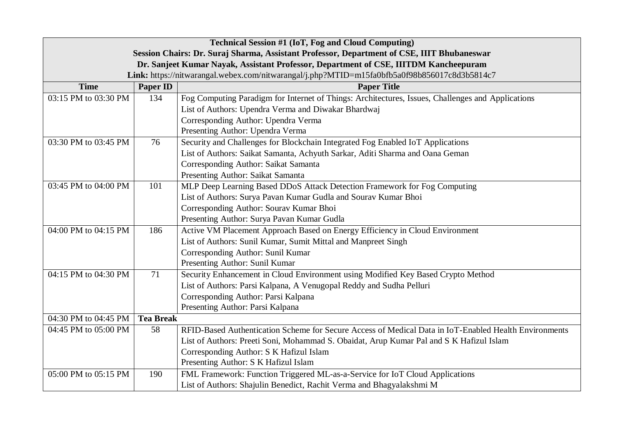| <b>Technical Session #1 (IoT, Fog and Cloud Computing)</b>                                 |                                                                                      |                                                                                                       |  |  |
|--------------------------------------------------------------------------------------------|--------------------------------------------------------------------------------------|-------------------------------------------------------------------------------------------------------|--|--|
| Session Chairs: Dr. Suraj Sharma, Assistant Professor, Department of CSE, IIIT Bhubaneswar |                                                                                      |                                                                                                       |  |  |
|                                                                                            | Dr. Sanjeet Kumar Nayak, Assistant Professor, Department of CSE, IIITDM Kancheepuram |                                                                                                       |  |  |
|                                                                                            |                                                                                      | Link: https://nitwarangal.webex.com/nitwarangal/j.php?MTID=m15fa0bfb5a0f98b856017c8d3b5814c7          |  |  |
| <b>Time</b>                                                                                | <b>Paper ID</b>                                                                      | <b>Paper Title</b>                                                                                    |  |  |
| 03:15 PM to 03:30 PM                                                                       | 134                                                                                  | Fog Computing Paradigm for Internet of Things: Architectures, Issues, Challenges and Applications     |  |  |
|                                                                                            |                                                                                      | List of Authors: Upendra Verma and Diwakar Bhardwaj                                                   |  |  |
|                                                                                            |                                                                                      | Corresponding Author: Upendra Verma                                                                   |  |  |
|                                                                                            |                                                                                      | Presenting Author: Upendra Verma                                                                      |  |  |
| 03:30 PM to 03:45 PM                                                                       | 76                                                                                   | Security and Challenges for Blockchain Integrated Fog Enabled IoT Applications                        |  |  |
|                                                                                            |                                                                                      | List of Authors: Saikat Samanta, Achyuth Sarkar, Aditi Sharma and Oana Geman                          |  |  |
|                                                                                            |                                                                                      | Corresponding Author: Saikat Samanta                                                                  |  |  |
|                                                                                            |                                                                                      | Presenting Author: Saikat Samanta                                                                     |  |  |
| 03:45 PM to 04:00 PM                                                                       | 101                                                                                  | MLP Deep Learning Based DDoS Attack Detection Framework for Fog Computing                             |  |  |
|                                                                                            |                                                                                      | List of Authors: Surya Pavan Kumar Gudla and Sourav Kumar Bhoi                                        |  |  |
|                                                                                            |                                                                                      | Corresponding Author: Sourav Kumar Bhoi                                                               |  |  |
|                                                                                            |                                                                                      | Presenting Author: Surya Pavan Kumar Gudla                                                            |  |  |
| 04:00 PM to 04:15 PM                                                                       | 186                                                                                  | Active VM Placement Approach Based on Energy Efficiency in Cloud Environment                          |  |  |
|                                                                                            |                                                                                      | List of Authors: Sunil Kumar, Sumit Mittal and Manpreet Singh                                         |  |  |
|                                                                                            |                                                                                      | Corresponding Author: Sunil Kumar                                                                     |  |  |
|                                                                                            |                                                                                      | Presenting Author: Sunil Kumar                                                                        |  |  |
| 04:15 PM to 04:30 PM                                                                       | 71                                                                                   | Security Enhancement in Cloud Environment using Modified Key Based Crypto Method                      |  |  |
|                                                                                            |                                                                                      | List of Authors: Parsi Kalpana, A Venugopal Reddy and Sudha Pelluri                                   |  |  |
|                                                                                            |                                                                                      | Corresponding Author: Parsi Kalpana                                                                   |  |  |
|                                                                                            |                                                                                      | Presenting Author: Parsi Kalpana                                                                      |  |  |
| 04:30 PM to 04:45 PM                                                                       | <b>Tea Break</b>                                                                     |                                                                                                       |  |  |
| 04:45 PM to 05:00 PM                                                                       | 58                                                                                   | RFID-Based Authentication Scheme for Secure Access of Medical Data in IoT-Enabled Health Environments |  |  |
|                                                                                            |                                                                                      | List of Authors: Preeti Soni, Mohammad S. Obaidat, Arup Kumar Pal and S K Hafizul Islam               |  |  |
|                                                                                            |                                                                                      | Corresponding Author: S K Hafizul Islam                                                               |  |  |
|                                                                                            |                                                                                      | Presenting Author: S K Hafizul Islam                                                                  |  |  |
| 05:00 PM to 05:15 PM                                                                       | 190                                                                                  | FML Framework: Function Triggered ML-as-a-Service for IoT Cloud Applications                          |  |  |
|                                                                                            |                                                                                      | List of Authors: Shajulin Benedict, Rachit Verma and Bhagyalakshmi M                                  |  |  |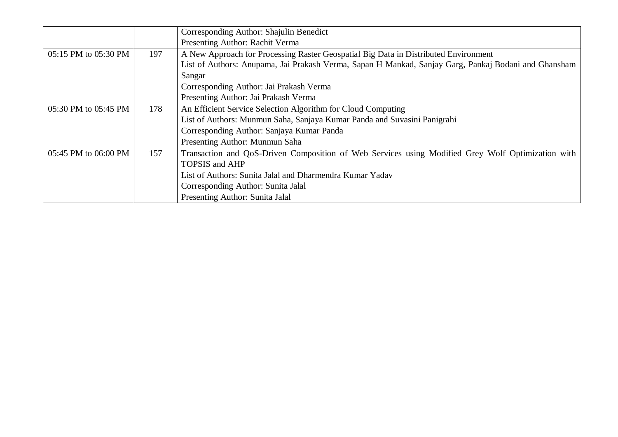|                      |     | Corresponding Author: Shajulin Benedict                                                              |
|----------------------|-----|------------------------------------------------------------------------------------------------------|
|                      |     | Presenting Author: Rachit Verma                                                                      |
| 05:15 PM to 05:30 PM | 197 | A New Approach for Processing Raster Geospatial Big Data in Distributed Environment                  |
|                      |     | List of Authors: Anupama, Jai Prakash Verma, Sapan H Mankad, Sanjay Garg, Pankaj Bodani and Ghansham |
|                      |     | Sangar                                                                                               |
|                      |     | Corresponding Author: Jai Prakash Verma                                                              |
|                      |     | Presenting Author: Jai Prakash Verma                                                                 |
| 05:30 PM to 05:45 PM | 178 | An Efficient Service Selection Algorithm for Cloud Computing                                         |
|                      |     | List of Authors: Munmun Saha, Sanjaya Kumar Panda and Suvasini Panigrahi                             |
|                      |     | Corresponding Author: Sanjaya Kumar Panda                                                            |
|                      |     | Presenting Author: Munmun Saha                                                                       |
| 05:45 PM to 06:00 PM | 157 | Transaction and QoS-Driven Composition of Web Services using Modified Grey Wolf Optimization with    |
|                      |     | <b>TOPSIS and AHP</b>                                                                                |
|                      |     | List of Authors: Sunita Jalal and Dharmendra Kumar Yadav                                             |
|                      |     | Corresponding Author: Sunita Jalal                                                                   |
|                      |     | Presenting Author: Sunita Jalal                                                                      |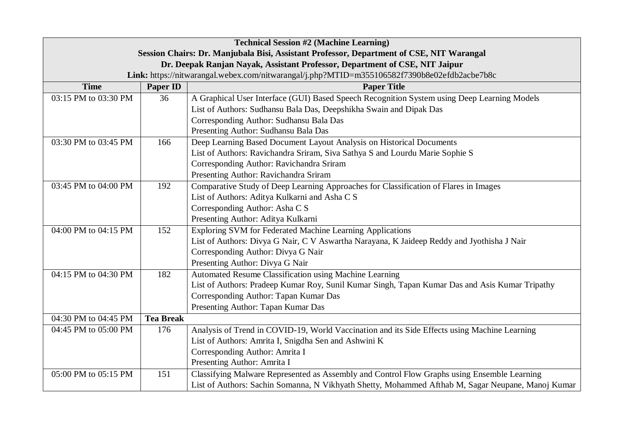| <b>Technical Session #2 (Machine Learning)</b>                                           |                  |                                                                                                   |  |
|------------------------------------------------------------------------------------------|------------------|---------------------------------------------------------------------------------------------------|--|
| Session Chairs: Dr. Manjubala Bisi, Assistant Professor, Department of CSE, NIT Warangal |                  |                                                                                                   |  |
| Dr. Deepak Ranjan Nayak, Assistant Professor, Department of CSE, NIT Jaipur              |                  |                                                                                                   |  |
|                                                                                          |                  | Link: https://nitwarangal.webex.com/nitwarangal/j.php?MTID=m355106582f7390b8e02efdb2acbe7b8c      |  |
| <b>Time</b>                                                                              | <b>Paper ID</b>  | <b>Paper Title</b>                                                                                |  |
| 03:15 PM to 03:30 PM                                                                     | 36               | A Graphical User Interface (GUI) Based Speech Recognition System using Deep Learning Models       |  |
|                                                                                          |                  | List of Authors: Sudhansu Bala Das, Deepshikha Swain and Dipak Das                                |  |
|                                                                                          |                  | Corresponding Author: Sudhansu Bala Das                                                           |  |
|                                                                                          |                  | Presenting Author: Sudhansu Bala Das                                                              |  |
| 03:30 PM to 03:45 PM                                                                     | 166              | Deep Learning Based Document Layout Analysis on Historical Documents                              |  |
|                                                                                          |                  | List of Authors: Ravichandra Sriram, Siva Sathya S and Lourdu Marie Sophie S                      |  |
|                                                                                          |                  | Corresponding Author: Ravichandra Sriram                                                          |  |
|                                                                                          |                  | Presenting Author: Ravichandra Sriram                                                             |  |
| 03:45 PM to 04:00 PM                                                                     | 192              | Comparative Study of Deep Learning Approaches for Classification of Flares in Images              |  |
|                                                                                          |                  | List of Authors: Aditya Kulkarni and Asha C S                                                     |  |
|                                                                                          |                  | Corresponding Author: Asha C S                                                                    |  |
|                                                                                          |                  | Presenting Author: Aditya Kulkarni                                                                |  |
| 04:00 PM to 04:15 PM                                                                     | 152              | Exploring SVM for Federated Machine Learning Applications                                         |  |
|                                                                                          |                  | List of Authors: Divya G Nair, C V Aswartha Narayana, K Jaideep Reddy and Jyothisha J Nair        |  |
|                                                                                          |                  | Corresponding Author: Divya G Nair                                                                |  |
|                                                                                          |                  | Presenting Author: Divya G Nair                                                                   |  |
| 04:15 PM to 04:30 PM                                                                     | 182              | Automated Resume Classification using Machine Learning                                            |  |
|                                                                                          |                  | List of Authors: Pradeep Kumar Roy, Sunil Kumar Singh, Tapan Kumar Das and Asis Kumar Tripathy    |  |
|                                                                                          |                  | Corresponding Author: Tapan Kumar Das                                                             |  |
|                                                                                          |                  | Presenting Author: Tapan Kumar Das                                                                |  |
| 04:30 PM to 04:45 PM                                                                     | <b>Tea Break</b> |                                                                                                   |  |
| 04:45 PM to 05:00 PM                                                                     | 176              | Analysis of Trend in COVID-19, World Vaccination and its Side Effects using Machine Learning      |  |
|                                                                                          |                  | List of Authors: Amrita I, Snigdha Sen and Ashwini K                                              |  |
|                                                                                          |                  | Corresponding Author: Amrita I                                                                    |  |
|                                                                                          |                  | Presenting Author: Amrita I                                                                       |  |
| 05:00 PM to 05:15 PM                                                                     | 151              | Classifying Malware Represented as Assembly and Control Flow Graphs using Ensemble Learning       |  |
|                                                                                          |                  | List of Authors: Sachin Somanna, N Vikhyath Shetty, Mohammed Afthab M, Sagar Neupane, Manoj Kumar |  |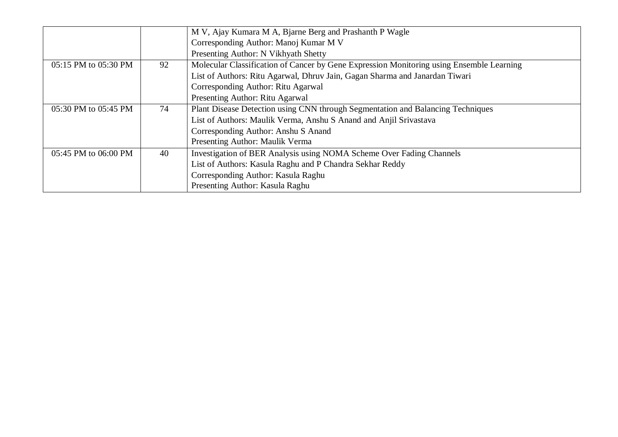|                      |    | M V, Ajay Kumara M A, Bjarne Berg and Prashanth P Wagle                                  |
|----------------------|----|------------------------------------------------------------------------------------------|
|                      |    | Corresponding Author: Manoj Kumar M V                                                    |
|                      |    | Presenting Author: N Vikhyath Shetty                                                     |
| 05:15 PM to 05:30 PM | 92 | Molecular Classification of Cancer by Gene Expression Monitoring using Ensemble Learning |
|                      |    | List of Authors: Ritu Agarwal, Dhruv Jain, Gagan Sharma and Janardan Tiwari              |
|                      |    | Corresponding Author: Ritu Agarwal                                                       |
|                      |    | Presenting Author: Ritu Agarwal                                                          |
| 05:30 PM to 05:45 PM | 74 | Plant Disease Detection using CNN through Segmentation and Balancing Techniques          |
|                      |    | List of Authors: Maulik Verma, Anshu S Anand and Anjil Srivastava                        |
|                      |    | Corresponding Author: Anshu S Anand                                                      |
|                      |    | Presenting Author: Maulik Verma                                                          |
| 05:45 PM to 06:00 PM | 40 | Investigation of BER Analysis using NOMA Scheme Over Fading Channels                     |
|                      |    | List of Authors: Kasula Raghu and P Chandra Sekhar Reddy                                 |
|                      |    | Corresponding Author: Kasula Raghu                                                       |
|                      |    | Presenting Author: Kasula Raghu                                                          |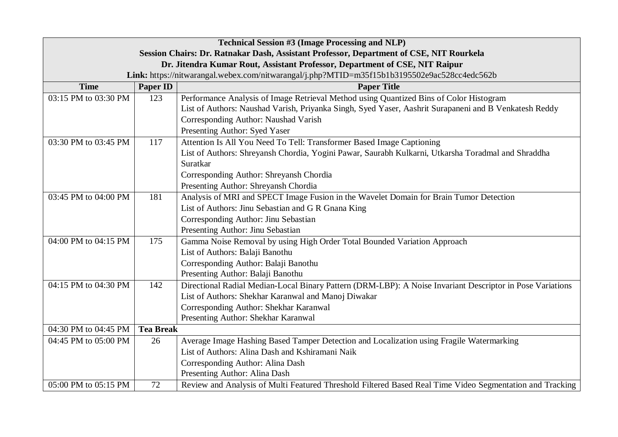| <b>Technical Session #3 (Image Processing and NLP)</b>                                  |                  |                                                                                                           |  |
|-----------------------------------------------------------------------------------------|------------------|-----------------------------------------------------------------------------------------------------------|--|
| Session Chairs: Dr. Ratnakar Dash, Assistant Professor, Department of CSE, NIT Rourkela |                  |                                                                                                           |  |
| Dr. Jitendra Kumar Rout, Assistant Professor, Department of CSE, NIT Raipur             |                  |                                                                                                           |  |
|                                                                                         |                  | Link: https://nitwarangal.webex.com/nitwarangal/j.php?MTID=m35f15b1b3195502e9ac528cc4edc562b              |  |
| <b>Time</b>                                                                             | <b>Paper ID</b>  | <b>Paper Title</b>                                                                                        |  |
| 03:15 PM to 03:30 PM                                                                    | 123              | Performance Analysis of Image Retrieval Method using Quantized Bins of Color Histogram                    |  |
|                                                                                         |                  | List of Authors: Naushad Varish, Priyanka Singh, Syed Yaser, Aashrit Surapaneni and B Venkatesh Reddy     |  |
|                                                                                         |                  | Corresponding Author: Naushad Varish                                                                      |  |
|                                                                                         |                  | Presenting Author: Syed Yaser                                                                             |  |
| 03:30 PM to 03:45 PM                                                                    | 117              | Attention Is All You Need To Tell: Transformer Based Image Captioning                                     |  |
|                                                                                         |                  | List of Authors: Shreyansh Chordia, Yogini Pawar, Saurabh Kulkarni, Utkarsha Toradmal and Shraddha        |  |
|                                                                                         |                  | Suratkar                                                                                                  |  |
|                                                                                         |                  | Corresponding Author: Shreyansh Chordia                                                                   |  |
|                                                                                         |                  | Presenting Author: Shreyansh Chordia                                                                      |  |
| 03:45 PM to 04:00 PM                                                                    | 181              | Analysis of MRI and SPECT Image Fusion in the Wavelet Domain for Brain Tumor Detection                    |  |
|                                                                                         |                  | List of Authors: Jinu Sebastian and G R Gnana King                                                        |  |
|                                                                                         |                  | Corresponding Author: Jinu Sebastian                                                                      |  |
|                                                                                         |                  | Presenting Author: Jinu Sebastian                                                                         |  |
| 04:00 PM to 04:15 PM                                                                    | 175              | Gamma Noise Removal by using High Order Total Bounded Variation Approach                                  |  |
|                                                                                         |                  | List of Authors: Balaji Banothu                                                                           |  |
|                                                                                         |                  | Corresponding Author: Balaji Banothu                                                                      |  |
|                                                                                         |                  | Presenting Author: Balaji Banothu                                                                         |  |
| 04:15 PM to 04:30 PM                                                                    | 142              | Directional Radial Median-Local Binary Pattern (DRM-LBP): A Noise Invariant Descriptor in Pose Variations |  |
|                                                                                         |                  | List of Authors: Shekhar Karanwal and Manoj Diwakar                                                       |  |
|                                                                                         |                  | Corresponding Author: Shekhar Karanwal                                                                    |  |
|                                                                                         |                  | Presenting Author: Shekhar Karanwal                                                                       |  |
| 04:30 PM to 04:45 PM                                                                    | <b>Tea Break</b> |                                                                                                           |  |
| 04:45 PM to 05:00 PM                                                                    | 26               | Average Image Hashing Based Tamper Detection and Localization using Fragile Watermarking                  |  |
|                                                                                         |                  | List of Authors: Alina Dash and Kshiramani Naik                                                           |  |
|                                                                                         |                  | Corresponding Author: Alina Dash                                                                          |  |
|                                                                                         |                  | Presenting Author: Alina Dash                                                                             |  |
| 05:00 PM to 05:15 PM                                                                    | 72               | Review and Analysis of Multi Featured Threshold Filtered Based Real Time Video Segmentation and Tracking  |  |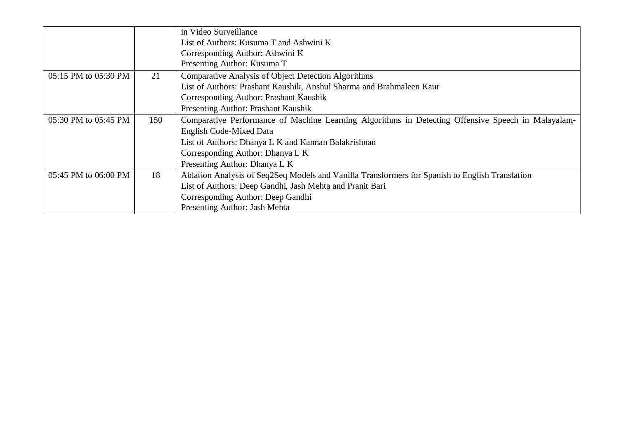|                      |     | in Video Surveillance                                                                              |
|----------------------|-----|----------------------------------------------------------------------------------------------------|
|                      |     | List of Authors: Kusuma T and Ashwini K                                                            |
|                      |     | Corresponding Author: Ashwini K                                                                    |
|                      |     | Presenting Author: Kusuma T                                                                        |
| 05:15 PM to 05:30 PM | 21  | <b>Comparative Analysis of Object Detection Algorithms</b>                                         |
|                      |     | List of Authors: Prashant Kaushik, Anshul Sharma and Brahmaleen Kaur                               |
|                      |     | Corresponding Author: Prashant Kaushik                                                             |
|                      |     | Presenting Author: Prashant Kaushik                                                                |
| 05:30 PM to 05:45 PM | 150 | Comparative Performance of Machine Learning Algorithms in Detecting Offensive Speech in Malayalam- |
|                      |     | <b>English Code-Mixed Data</b>                                                                     |
|                      |     | List of Authors: Dhanya L K and Kannan Balakrishnan                                                |
|                      |     | Corresponding Author: Dhanya L K                                                                   |
|                      |     | Presenting Author: Dhanya L K                                                                      |
| 05:45 PM to 06:00 PM | 18  | Ablation Analysis of Seq2Seq Models and Vanilla Transformers for Spanish to English Translation    |
|                      |     | List of Authors: Deep Gandhi, Jash Mehta and Pranit Bari                                           |
|                      |     | Corresponding Author: Deep Gandhi                                                                  |
|                      |     | Presenting Author: Jash Mehta                                                                      |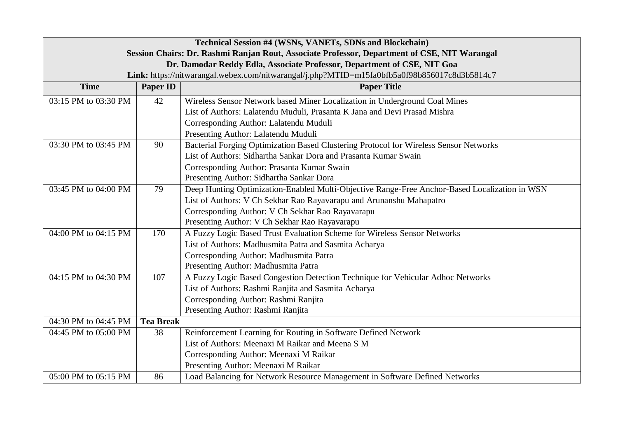| Technical Session #4 (WSNs, VANETs, SDNs and Blockchain)                                     |                  |                                                                                               |  |
|----------------------------------------------------------------------------------------------|------------------|-----------------------------------------------------------------------------------------------|--|
| Session Chairs: Dr. Rashmi Ranjan Rout, Associate Professor, Department of CSE, NIT Warangal |                  |                                                                                               |  |
| Dr. Damodar Reddy Edla, Associate Professor, Department of CSE, NIT Goa                      |                  |                                                                                               |  |
|                                                                                              |                  | Link: https://nitwarangal.webex.com/nitwarangal/j.php?MTID=m15fa0bfb5a0f98b856017c8d3b5814c7  |  |
| <b>Time</b>                                                                                  | <b>Paper ID</b>  | <b>Paper Title</b>                                                                            |  |
| 03:15 PM to 03:30 PM                                                                         | 42               | Wireless Sensor Network based Miner Localization in Underground Coal Mines                    |  |
|                                                                                              |                  | List of Authors: Lalatendu Muduli, Prasanta K Jana and Devi Prasad Mishra                     |  |
|                                                                                              |                  | Corresponding Author: Lalatendu Muduli                                                        |  |
|                                                                                              |                  | Presenting Author: Lalatendu Muduli                                                           |  |
| 03:30 PM to 03:45 PM                                                                         | 90               | Bacterial Forging Optimization Based Clustering Protocol for Wireless Sensor Networks         |  |
|                                                                                              |                  | List of Authors: Sidhartha Sankar Dora and Prasanta Kumar Swain                               |  |
|                                                                                              |                  | Corresponding Author: Prasanta Kumar Swain                                                    |  |
|                                                                                              |                  | Presenting Author: Sidhartha Sankar Dora                                                      |  |
| 03:45 PM to 04:00 PM                                                                         | 79               | Deep Hunting Optimization-Enabled Multi-Objective Range-Free Anchor-Based Localization in WSN |  |
|                                                                                              |                  | List of Authors: V Ch Sekhar Rao Rayavarapu and Arunanshu Mahapatro                           |  |
|                                                                                              |                  | Corresponding Author: V Ch Sekhar Rao Rayavarapu                                              |  |
|                                                                                              |                  | Presenting Author: V Ch Sekhar Rao Rayavarapu                                                 |  |
| 04:00 PM to 04:15 PM                                                                         | 170              | A Fuzzy Logic Based Trust Evaluation Scheme for Wireless Sensor Networks                      |  |
|                                                                                              |                  | List of Authors: Madhusmita Patra and Sasmita Acharya                                         |  |
|                                                                                              |                  | Corresponding Author: Madhusmita Patra                                                        |  |
|                                                                                              |                  | Presenting Author: Madhusmita Patra                                                           |  |
| 04:15 PM to 04:30 PM                                                                         | 107              | A Fuzzy Logic Based Congestion Detection Technique for Vehicular Adhoc Networks               |  |
|                                                                                              |                  | List of Authors: Rashmi Ranjita and Sasmita Acharya                                           |  |
|                                                                                              |                  | Corresponding Author: Rashmi Ranjita                                                          |  |
|                                                                                              |                  | Presenting Author: Rashmi Ranjita                                                             |  |
| 04:30 PM to 04:45 PM                                                                         | <b>Tea Break</b> |                                                                                               |  |
| 04:45 PM to 05:00 PM                                                                         | 38               | Reinforcement Learning for Routing in Software Defined Network                                |  |
|                                                                                              |                  | List of Authors: Meenaxi M Raikar and Meena S M                                               |  |
|                                                                                              |                  | Corresponding Author: Meenaxi M Raikar                                                        |  |
|                                                                                              |                  | Presenting Author: Meenaxi M Raikar                                                           |  |
| 05:00 PM to 05:15 PM                                                                         | 86               | Load Balancing for Network Resource Management in Software Defined Networks                   |  |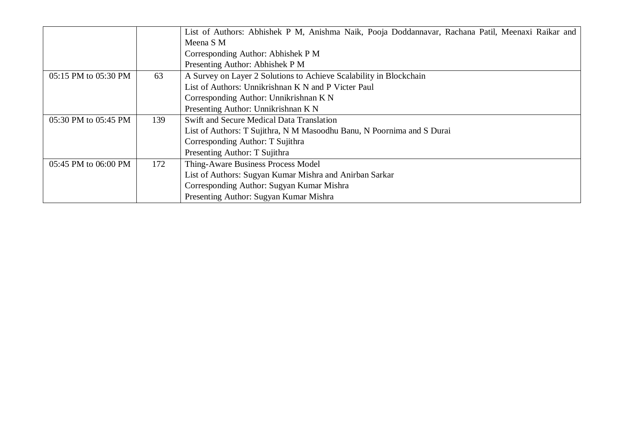|                      |     | List of Authors: Abhishek P M, Anishma Naik, Pooja Doddannavar, Rachana Patil, Meenaxi Raikar and |
|----------------------|-----|---------------------------------------------------------------------------------------------------|
|                      |     | Meena S M                                                                                         |
|                      |     | Corresponding Author: Abhishek P M                                                                |
|                      |     | Presenting Author: Abhishek P M                                                                   |
| 05:15 PM to 05:30 PM | 63  | A Survey on Layer 2 Solutions to Achieve Scalability in Blockchain                                |
|                      |     | List of Authors: Unnikrishnan K N and P Victer Paul                                               |
|                      |     | Corresponding Author: Unnikrishnan K N                                                            |
|                      |     | Presenting Author: Unnikrishnan K N                                                               |
| 05:30 PM to 05:45 PM | 139 | Swift and Secure Medical Data Translation                                                         |
|                      |     | List of Authors: T Sujithra, N M Masoodhu Banu, N Poornima and S Durai                            |
|                      |     | Corresponding Author: T Sujithra                                                                  |
|                      |     | Presenting Author: T Sujithra                                                                     |
| 05:45 PM to 06:00 PM | 172 | Thing-Aware Business Process Model                                                                |
|                      |     | List of Authors: Sugyan Kumar Mishra and Anirban Sarkar                                           |
|                      |     | Corresponding Author: Sugyan Kumar Mishra                                                         |
|                      |     | Presenting Author: Sugyan Kumar Mishra                                                            |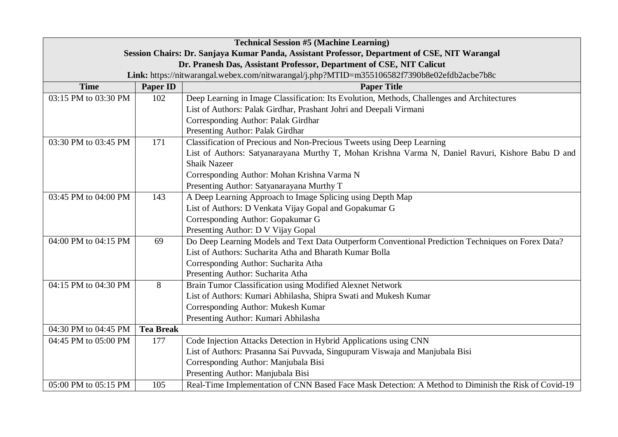| <b>Technical Session #5 (Machine Learning)</b>                                                |                  |                                                                                                      |  |
|-----------------------------------------------------------------------------------------------|------------------|------------------------------------------------------------------------------------------------------|--|
| Session Chairs: Dr. Sanjaya Kumar Panda, Assistant Professor, Department of CSE, NIT Warangal |                  |                                                                                                      |  |
| Dr. Pranesh Das, Assistant Professor, Department of CSE, NIT Calicut                          |                  |                                                                                                      |  |
|                                                                                               |                  | Link: https://nitwarangal.webex.com/nitwarangal/j.php?MTID=m355106582f7390b8e02efdb2acbe7b8c         |  |
| <b>Time</b>                                                                                   | Paper ID         | <b>Paper Title</b>                                                                                   |  |
| 03:15 PM to 03:30 PM                                                                          | 102              | Deep Learning in Image Classification: Its Evolution, Methods, Challenges and Architectures          |  |
|                                                                                               |                  | List of Authors: Palak Girdhar, Prashant Johri and Deepali Virmani                                   |  |
|                                                                                               |                  | Corresponding Author: Palak Girdhar                                                                  |  |
|                                                                                               |                  | Presenting Author: Palak Girdhar                                                                     |  |
| 03:30 PM to 03:45 PM                                                                          | 171              | Classification of Precious and Non-Precious Tweets using Deep Learning                               |  |
|                                                                                               |                  | List of Authors: Satyanarayana Murthy T, Mohan Krishna Varma N, Daniel Ravuri, Kishore Babu D and    |  |
|                                                                                               |                  | <b>Shaik Nazeer</b>                                                                                  |  |
|                                                                                               |                  | Corresponding Author: Mohan Krishna Varma N                                                          |  |
|                                                                                               |                  | Presenting Author: Satyanarayana Murthy T                                                            |  |
| 03:45 PM to 04:00 PM                                                                          | 143              | A Deep Learning Approach to Image Splicing using Depth Map                                           |  |
|                                                                                               |                  | List of Authors: D Venkata Vijay Gopal and Gopakumar G                                               |  |
|                                                                                               |                  | Corresponding Author: Gopakumar G                                                                    |  |
|                                                                                               |                  | Presenting Author: D V Vijay Gopal                                                                   |  |
| 04:00 PM to 04:15 PM                                                                          | 69               | Do Deep Learning Models and Text Data Outperform Conventional Prediction Techniques on Forex Data?   |  |
|                                                                                               |                  | List of Authors: Sucharita Atha and Bharath Kumar Bolla                                              |  |
|                                                                                               |                  | Corresponding Author: Sucharita Atha                                                                 |  |
|                                                                                               |                  | Presenting Author: Sucharita Atha                                                                    |  |
| 04:15 PM to 04:30 PM                                                                          | 8                | Brain Tumor Classification using Modified Alexnet Network                                            |  |
|                                                                                               |                  | List of Authors: Kumari Abhilasha, Shipra Swati and Mukesh Kumar                                     |  |
|                                                                                               |                  | Corresponding Author: Mukesh Kumar                                                                   |  |
|                                                                                               |                  | Presenting Author: Kumari Abhilasha                                                                  |  |
| 04:30 PM to 04:45 PM                                                                          | <b>Tea Break</b> |                                                                                                      |  |
| 04:45 PM to 05:00 PM                                                                          | 177              | Code Injection Attacks Detection in Hybrid Applications using CNN                                    |  |
|                                                                                               |                  | List of Authors: Prasanna Sai Puvvada, Singupuram Viswaja and Manjubala Bisi                         |  |
|                                                                                               |                  | Corresponding Author: Manjubala Bisi                                                                 |  |
|                                                                                               |                  | Presenting Author: Manjubala Bisi                                                                    |  |
| 05:00 PM to 05:15 PM                                                                          | 105              | Real-Time Implementation of CNN Based Face Mask Detection: A Method to Diminish the Risk of Covid-19 |  |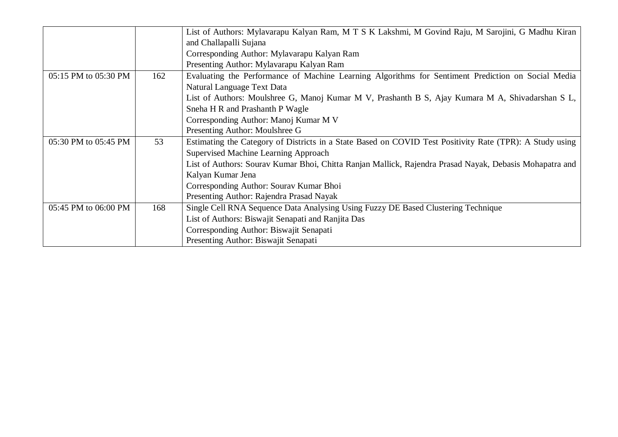|                      |     | List of Authors: Mylavarapu Kalyan Ram, M T S K Lakshmi, M Govind Raju, M Sarojini, G Madhu Kiran        |
|----------------------|-----|----------------------------------------------------------------------------------------------------------|
|                      |     | and Challapalli Sujana                                                                                   |
|                      |     | Corresponding Author: Mylavarapu Kalyan Ram                                                              |
|                      |     | Presenting Author: Mylavarapu Kalyan Ram                                                                 |
| 05:15 PM to 05:30 PM | 162 | Evaluating the Performance of Machine Learning Algorithms for Sentiment Prediction on Social Media       |
|                      |     | Natural Language Text Data                                                                               |
|                      |     | List of Authors: Moulshree G, Manoj Kumar M V, Prashanth B S, Ajay Kumara M A, Shivadarshan S L,         |
|                      |     | Sneha H R and Prashanth P Wagle                                                                          |
|                      |     | Corresponding Author: Manoj Kumar M V                                                                    |
|                      |     | Presenting Author: Moulshree G                                                                           |
| 05:30 PM to 05:45 PM | 53  | Estimating the Category of Districts in a State Based on COVID Test Positivity Rate (TPR): A Study using |
|                      |     | Supervised Machine Learning Approach                                                                     |
|                      |     | List of Authors: Sourav Kumar Bhoi, Chitta Ranjan Mallick, Rajendra Prasad Nayak, Debasis Mohapatra and  |
|                      |     | Kalyan Kumar Jena                                                                                        |
|                      |     | Corresponding Author: Sourav Kumar Bhoi                                                                  |
|                      |     | Presenting Author: Rajendra Prasad Nayak                                                                 |
| 05:45 PM to 06:00 PM | 168 | Single Cell RNA Sequence Data Analysing Using Fuzzy DE Based Clustering Technique                        |
|                      |     | List of Authors: Biswajit Senapati and Ranjita Das                                                       |
|                      |     | Corresponding Author: Biswajit Senapati                                                                  |
|                      |     | Presenting Author: Biswajit Senapati                                                                     |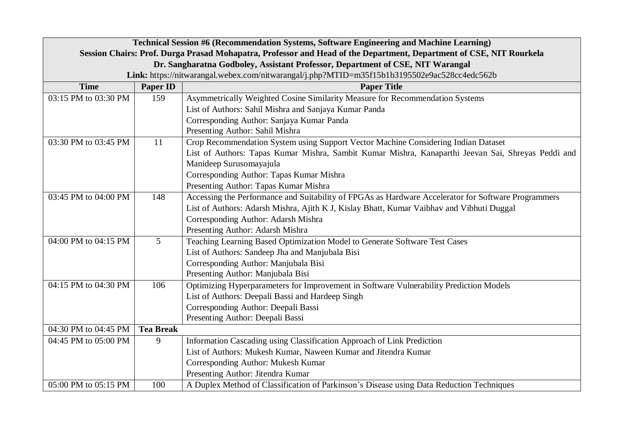| Technical Session #6 (Recommendation Systems, Software Engineering and Machine Learning)                            |                  |                                                                                                     |  |  |
|---------------------------------------------------------------------------------------------------------------------|------------------|-----------------------------------------------------------------------------------------------------|--|--|
| Session Chairs: Prof. Durga Prasad Mohapatra, Professor and Head of the Department, Department of CSE, NIT Rourkela |                  |                                                                                                     |  |  |
| Dr. Sangharatna Godboley, Assistant Professor, Department of CSE, NIT Warangal                                      |                  |                                                                                                     |  |  |
|                                                                                                                     |                  | Link: https://nitwarangal.webex.com/nitwarangal/j.php?MTID=m35f15b1b3195502e9ac528cc4edc562b        |  |  |
| <b>Time</b>                                                                                                         | <b>Paper ID</b>  | <b>Paper Title</b>                                                                                  |  |  |
| 03:15 PM to 03:30 PM                                                                                                | 159              | Asymmetrically Weighted Cosine Similarity Measure for Recommendation Systems                        |  |  |
|                                                                                                                     |                  | List of Authors: Sahil Mishra and Sanjaya Kumar Panda                                               |  |  |
|                                                                                                                     |                  | Corresponding Author: Sanjaya Kumar Panda                                                           |  |  |
|                                                                                                                     |                  | Presenting Author: Sahil Mishra                                                                     |  |  |
| 03:30 PM to 03:45 PM                                                                                                | 11               | Crop Recommendation System using Support Vector Machine Considering Indian Dataset                  |  |  |
|                                                                                                                     |                  | List of Authors: Tapas Kumar Mishra, Sambit Kumar Mishra, Kanaparthi Jeevan Sai, Shreyas Peddi and  |  |  |
|                                                                                                                     |                  | Manideep Surusomayajula                                                                             |  |  |
|                                                                                                                     |                  | Corresponding Author: Tapas Kumar Mishra                                                            |  |  |
|                                                                                                                     |                  | Presenting Author: Tapas Kumar Mishra                                                               |  |  |
| 03:45 PM to 04:00 PM                                                                                                | 148              | Accessing the Performance and Suitability of FPGAs as Hardware Accelerator for Software Programmers |  |  |
|                                                                                                                     |                  | List of Authors: Adarsh Mishra, Ajith K J, Kislay Bhatt, Kumar Vaibhav and Vibhuti Duggal           |  |  |
|                                                                                                                     |                  | Corresponding Author: Adarsh Mishra                                                                 |  |  |
|                                                                                                                     |                  | Presenting Author: Adarsh Mishra                                                                    |  |  |
| 04:00 PM to 04:15 PM                                                                                                | 5                | Teaching Learning Based Optimization Model to Generate Software Test Cases                          |  |  |
|                                                                                                                     |                  | List of Authors: Sandeep Jha and Manjubala Bisi                                                     |  |  |
|                                                                                                                     |                  | Corresponding Author: Manjubala Bisi                                                                |  |  |
|                                                                                                                     |                  | Presenting Author: Manjubala Bisi                                                                   |  |  |
| 04:15 PM to 04:30 PM                                                                                                | 106              | Optimizing Hyperparameters for Improvement in Software Vulnerability Prediction Models              |  |  |
|                                                                                                                     |                  | List of Authors: Deepali Bassi and Hardeep Singh                                                    |  |  |
|                                                                                                                     |                  | Corresponding Author: Deepali Bassi                                                                 |  |  |
|                                                                                                                     |                  | Presenting Author: Deepali Bassi                                                                    |  |  |
| 04:30 PM to 04:45 PM                                                                                                | <b>Tea Break</b> |                                                                                                     |  |  |
| 04:45 PM to 05:00 PM                                                                                                | 9                | Information Cascading using Classification Approach of Link Prediction                              |  |  |
|                                                                                                                     |                  | List of Authors: Mukesh Kumar, Naween Kumar and Jitendra Kumar                                      |  |  |
|                                                                                                                     |                  | Corresponding Author: Mukesh Kumar                                                                  |  |  |
|                                                                                                                     |                  | Presenting Author: Jitendra Kumar                                                                   |  |  |
| 05:00 PM to 05:15 PM                                                                                                | 100              | A Duplex Method of Classification of Parkinson's Disease using Data Reduction Techniques            |  |  |